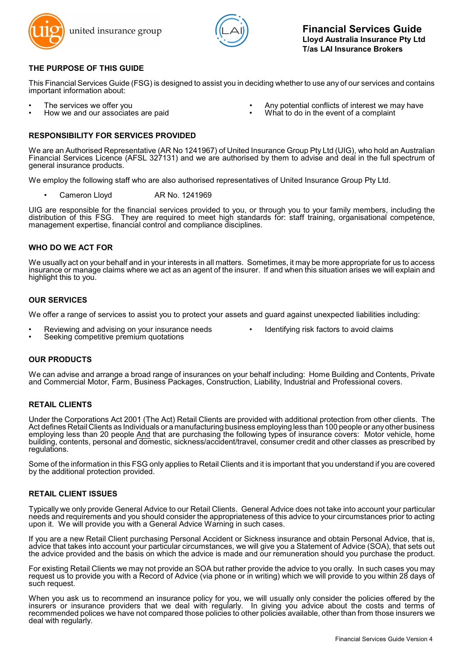



# **THE PURPOSE OF THIS GUIDE**

This Financial Services Guide (FSG) is designed to assist you in deciding whether to use any of our services and contains important information about:

- 
- 
- The services we offer you **interest we may have**<br>
How we and our associates are paid **Antical Confluence of the exercise of a** complaint
	- What to do in the event of a complaint

## **RESPONSIBILITY FOR SERVICES PROVIDED**

We are an Authorised Representative (AR No 1241967) of United Insurance Group Pty Ltd (UIG), who hold an Australian Financial Services Licence (AFSL 327131) and we are authorised by them to advise and deal in the full spectrum of general insurance products.

We employ the following staff who are also authorised representatives of United Insurance Group Pty Ltd.

Cameron Lloyd AR No. 1241969

UIG are responsible for the financial services provided to you, or through you to your family members, including the distribution of this FSG. They are required to meet high standards for: staff training, organisational competence, management expertise, financial control and compliance disciplines.

## **WHO DO WE ACT FOR**

We usually act on your behalf and in your interests in all matters. Sometimes, it may be more appropriate for us to access insurance or manage claims where we act as an agent of the insurer. If and when this situation arises we will explain and highlight this to you.

### **OUR SERVICES**

We offer a range of services to assist you to protect your assets and guard against unexpected liabilities including:

- Reviewing and advising on your insurance needs Identifying risk factors to avoid claims
- 
- Seeking competitive premium quotations

### **OUR PRODUCTS**

We can advise and arrange a broad range of insurances on your behalf including: Home Building and Contents, Private and Commercial Motor, Farm, Business Packages, Construction, Liability, Industrial and Professional covers.

# **RETAIL CLIENTS**

Under the Corporations Act 2001 (The Act) Retail Clients are provided with additional protection from other clients. The Act defines Retail Clients as Individuals or a manufacturing business employing less than 100 people or any other business employing less than 20 people And that are purchasing the following types of insurance covers: Motor vehicle, home building, contents, personal and domestic, sickness/accident/travel, consumer credit and other classes as prescribed by regulations.

Some of the information in this FSG only applies to Retail Clients and it is important that you understand if you are covered by the additional protection provided.

### **RETAIL CLIENT ISSUES**

Typically we only provide General Advice to our Retail Clients. General Advice does not take into account your particular needs and requirements and you should consider the appropriateness of this advice to your circumstances prior to acting upon it. We will provide you with a General Advice Warning in such cases.

If you are a new Retail Client purchasing Personal Accident or Sickness insurance and obtain Personal Advice, that is, advice that takes into account your particular circumstances, we will give you a Statement of Advice (SOA), that sets out the advice provided and the basis on which the advice is made and our remuneration should you purchase the product.

For existing Retail Clients we may not provide an SOA but rather provide the advice to you orally. In such cases you may request us to provide you with a Record of Advice (via phone or in writing) which we will provide to you within 28 days of such request.

When you ask us to recommend an insurance policy for you, we will usually only consider the policies offered by the insurers or insurance providers that we deal with regularly. In giving you advice about the costs and terms of recommended polices we have not compared those policies to other policies available, other than from those insurers we deal with regularly.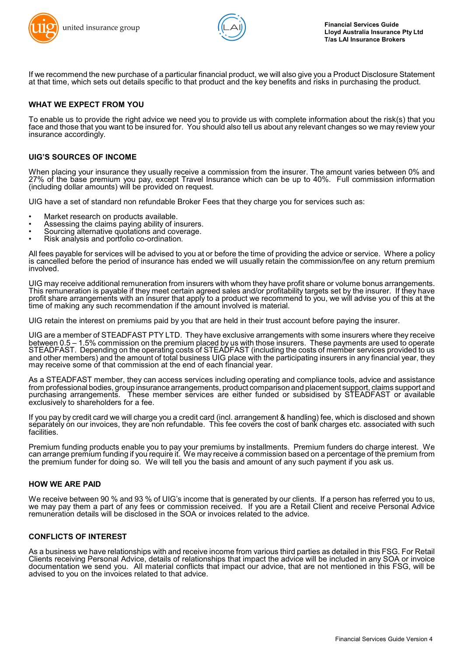



If we recommend the new purchase of a particular financial product, we will also give you a Product Disclosure Statement at that time, which sets out details specific to that product and the key benefits and risks in purchasing the product.

## **WHAT WE EXPECT FROM YOU**

To enable us to provide the right advice we need you to provide us with complete information about the risk(s) that you face and those that you want to be insured for. You should also tell us about any relevant changes so we may review your insurance accordingly.

### **UIG'S SOURCES OF INCOME**

When placing your insurance they usually receive a commission from the insurer. The amount varies between 0% and 27% of the base premium you pay, except Travel Insurance which can be up to 40%. Full commission information (including dollar amounts) will be provided on request.

UIG have a set of standard non refundable Broker Fees that they charge you for services such as:

- Market research on products available.
- Assessing the claims paying ability of insurers.
- Sourcing alternative quotations and coverage.
- Risk analysis and portfolio co-ordination.

All fees payable for services will be advised to you at or before the time of providing the advice or service. Where a policy is cancelled before the period of insurance has ended we will usually retain the commission/fee on any return premium involved.

UIG may receive additional remuneration from insurers with whom they have profit share or volume bonus arrangements. This remuneration is payable if they meet certain agreed sales and/or profitability targets set by the insurer. If they have profit share arrangements with an insurer that apply to a product we recommend to you, we will advise you of this at the time of making any such recommendation if the amount involved is material.

UIG retain the interest on premiums paid by you that are held in their trust account before paying the insurer.

UIG are a member of STEADFAST PTY LTD. They have exclusive arrangements with some insurers where they receive between 0.5 – 1.5% commission on the premium placed by us with those insurers. These payments are used to operate STEADFAST. Depending on the operating costs of STEADFAST (including the costs of member services provided to us and other members) and the amount of total business UIG place with the participating insurers in any financial year, they may receive some of that commission at the end of each financial year.

As a STEADFAST member, they can access services including operating and compliance tools, advice and assistance from professional bodies, group insurance arrangements, product comparison and placement support, claims support and purchasing arrangements. These member services are either funded or subsidised by STEADFAST or available exclusively to shareholders for a fee.

If you pay by credit card we will charge you a credit card (incl. arrangement & handling) fee, which is disclosed and shown separately on our invoices, they are non refundable. This fee covers the cost of bank charges etc. associated with such facilities.

Premium funding products enable you to pay your premiums by installments. Premium funders do charge interest. We can arrange premium funding if you require it. We may receive a commission based on a percentage of the premium from the premium funder for doing so. We will tell you the basis and amount of any such payment if you ask us.

### **HOW WE ARE PAID**

We receive between 90 % and 93 % of UIG's income that is generated by our clients. If a person has referred you to us, we may pay them a part of any fees or commission received. If you are a Retail Client and receive Personal Advice remuneration details will be disclosed in the SOA or invoices related to the advice.

### **CONFLICTS OF INTEREST**

As a business we have relationships with and receive income from various third parties as detailed in this FSG. For Retail Clients receiving Personal Advice, details of relationships that impact the advice will be included in any SOA or invoice documentation we send you. All material conflicts that impact our advice, that are not mentioned in this FSG, will be advised to you on the invoices related to that advice.